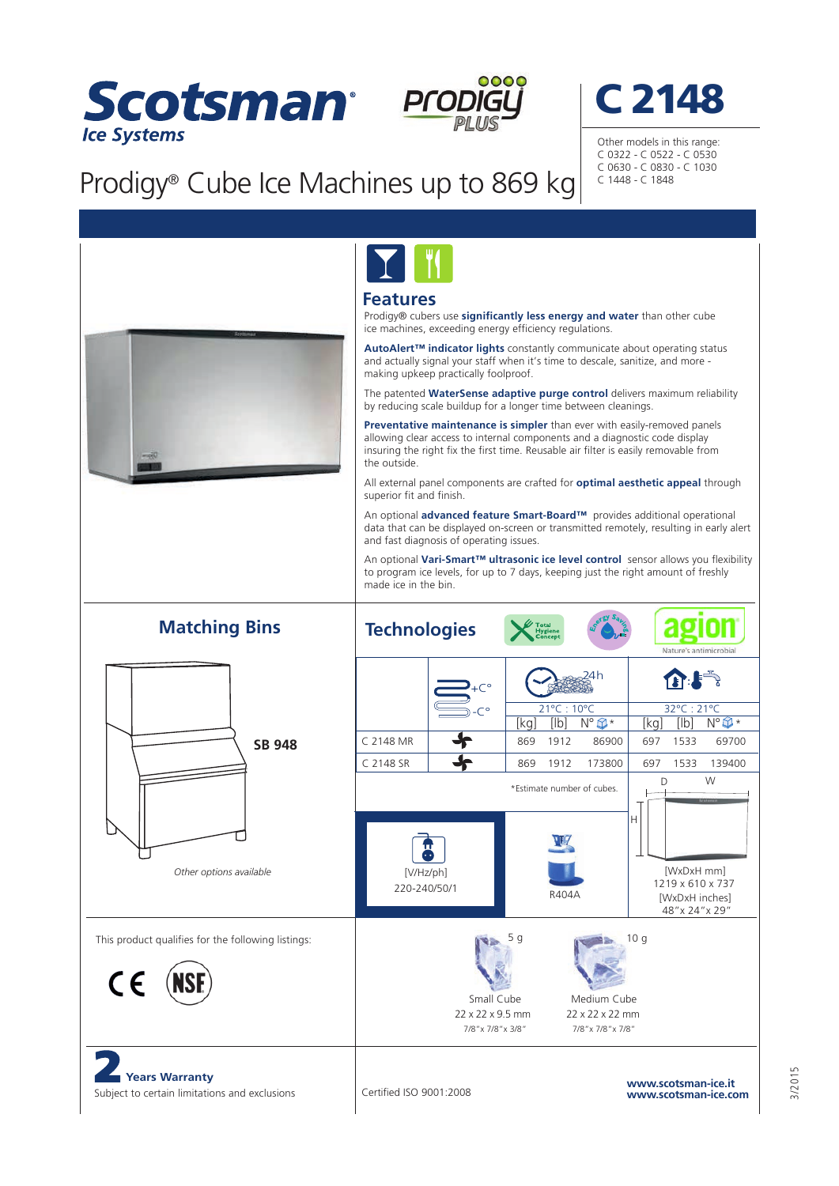



## Prodigy® Cube Ice Machines up to 869 kg



Other models in this range: C 0322 - C 0522 - C 0530 C 0630 - C 0830 - C 1030 C 1448 - C 1848